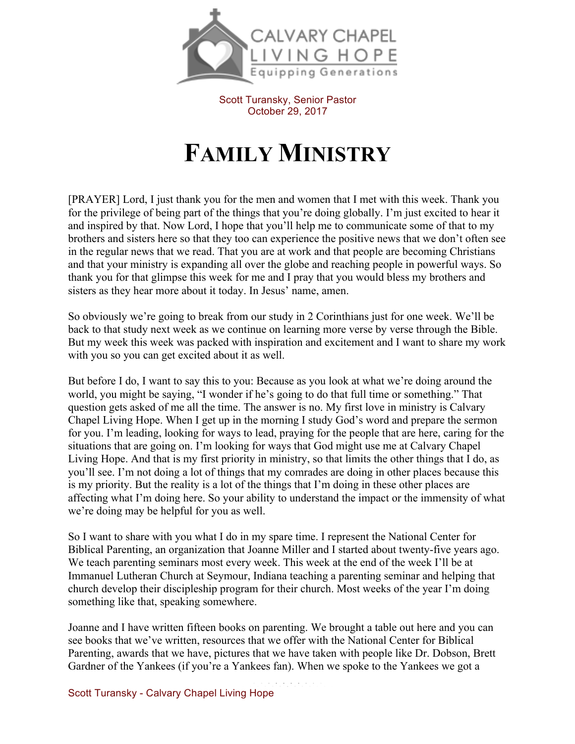

Scott Turansky, Senior Pastor October 29, 2017

## **FAMILY MINISTRY**

[PRAYER] Lord, I just thank you for the men and women that I met with this week. Thank you for the privilege of being part of the things that you're doing globally. I'm just excited to hear it and inspired by that. Now Lord, I hope that you'll help me to communicate some of that to my brothers and sisters here so that they too can experience the positive news that we don't often see in the regular news that we read. That you are at work and that people are becoming Christians and that your ministry is expanding all over the globe and reaching people in powerful ways. So thank you for that glimpse this week for me and I pray that you would bless my brothers and sisters as they hear more about it today. In Jesus' name, amen.

So obviously we're going to break from our study in 2 Corinthians just for one week. We'll be back to that study next week as we continue on learning more verse by verse through the Bible. But my week this week was packed with inspiration and excitement and I want to share my work with you so you can get excited about it as well.

But before I do, I want to say this to you: Because as you look at what we're doing around the world, you might be saying, "I wonder if he's going to do that full time or something." That question gets asked of me all the time. The answer is no. My first love in ministry is Calvary Chapel Living Hope. When I get up in the morning I study God's word and prepare the sermon for you. I'm leading, looking for ways to lead, praying for the people that are here, caring for the situations that are going on. I'm looking for ways that God might use me at Calvary Chapel Living Hope. And that is my first priority in ministry, so that limits the other things that I do, as you'll see. I'm not doing a lot of things that my comrades are doing in other places because this is my priority. But the reality is a lot of the things that I'm doing in these other places are affecting what I'm doing here. So your ability to understand the impact or the immensity of what we're doing may be helpful for you as well.

So I want to share with you what I do in my spare time. I represent the National Center for Biblical Parenting, an organization that Joanne Miller and I started about twenty-five years ago. We teach parenting seminars most every week. This week at the end of the week I'll be at Immanuel Lutheran Church at Seymour, Indiana teaching a parenting seminar and helping that church develop their discipleship program for their church. Most weeks of the year I'm doing something like that, speaking somewhere.

Joanne and I have written fifteen books on parenting. We brought a table out here and you can see books that we've written, resources that we offer with the National Center for Biblical Parenting, awards that we have, pictures that we have taken with people like Dr. Dobson, Brett Gardner of the Yankees (if you're a Yankees fan). When we spoke to the Yankees we got a

Scott Turansky - Calvary Chapel Living Hope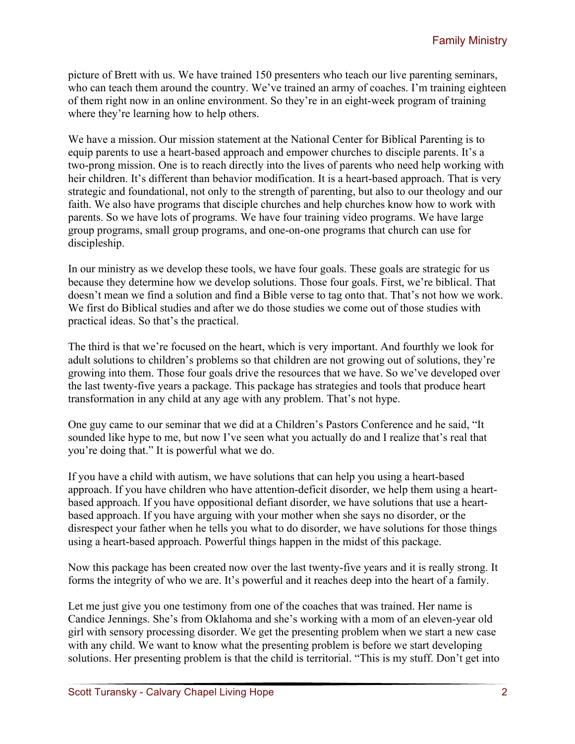picture of Brett with us. We have trained 150 presenters who teach our live parenting seminars, who can teach them around the country. We've trained an army of coaches. I'm training eighteen of them right now in an online environment. So they're in an eight-week program of training where they're learning how to help others.

We have a mission. Our mission statement at the National Center for Biblical Parenting is to equip parents to use a heart-based approach and empower churches to disciple parents. It's a two-prong mission. One is to reach directly into the lives of parents who need help working with heir children. It's different than behavior modification. It is a heart-based approach. That is very strategic and foundational, not only to the strength of parenting, but also to our theology and our faith. We also have programs that disciple churches and help churches know how to work with parents. So we have lots of programs. We have four training video programs. We have large group programs, small group programs, and one-on-one programs that church can use for discipleship.

In our ministry as we develop these tools, we have four goals. These goals are strategic for us because they determine how we develop solutions. Those four goals. First, we're biblical. That doesn't mean we find a solution and find a Bible verse to tag onto that. That's not how we work. We first do Biblical studies and after we do those studies we come out of those studies with practical ideas. So that's the practical.

The third is that we're focused on the heart, which is very important. And fourthly we look for adult solutions to children's problems so that children are not growing out of solutions, they're growing into them. Those four goals drive the resources that we have. So we've developed over the last twenty-five years a package. This package has strategies and tools that produce heart transformation in any child at any age with any problem. That's not hype.

One guy came to our seminar that we did at a Children's Pastors Conference and he said, "It sounded like hype to me, but now I've seen what you actually do and I realize that's real that you're doing that." It is powerful what we do.

If you have a child with autism, we have solutions that can help you using a heart-based approach. If you have children who have attention-deficit disorder, we help them using a heartbased approach. If you have oppositional defiant disorder, we have solutions that use a heartbased approach. If you have arguing with your mother when she says no disorder, or the disrespect your father when he tells you what to do disorder, we have solutions for those things using a heart-based approach. Powerful things happen in the midst of this package.

Now this package has been created now over the last twenty-five years and it is really strong. It forms the integrity of who we are. It's powerful and it reaches deep into the heart of a family.

Let me just give you one testimony from one of the coaches that was trained. Her name is Candice Jennings. She's from Oklahoma and she's working with a mom of an eleven-year old girl with sensory processing disorder. We get the presenting problem when we start a new case with any child. We want to know what the presenting problem is before we start developing solutions. Her presenting problem is that the child is territorial. "This is my stuff. Don't get into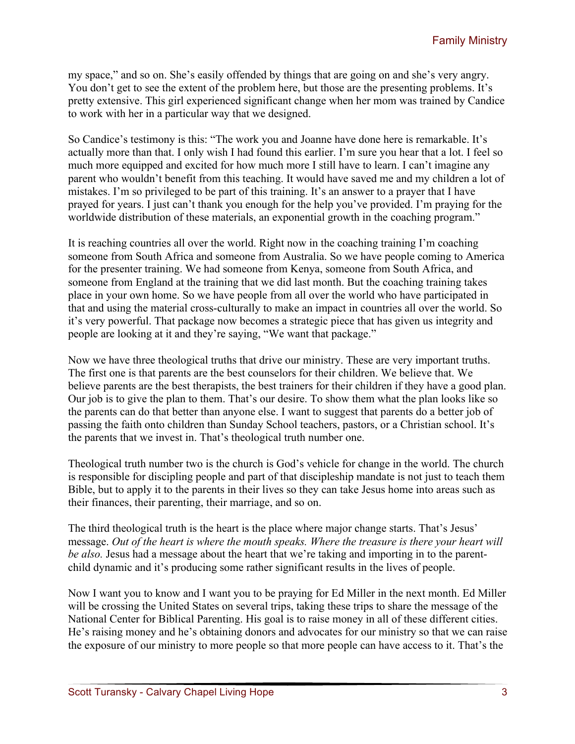my space," and so on. She's easily offended by things that are going on and she's very angry. You don't get to see the extent of the problem here, but those are the presenting problems. It's pretty extensive. This girl experienced significant change when her mom was trained by Candice to work with her in a particular way that we designed.

So Candice's testimony is this: "The work you and Joanne have done here is remarkable. It's actually more than that. I only wish I had found this earlier. I'm sure you hear that a lot. I feel so much more equipped and excited for how much more I still have to learn. I can't imagine any parent who wouldn't benefit from this teaching. It would have saved me and my children a lot of mistakes. I'm so privileged to be part of this training. It's an answer to a prayer that I have prayed for years. I just can't thank you enough for the help you've provided. I'm praying for the worldwide distribution of these materials, an exponential growth in the coaching program."

It is reaching countries all over the world. Right now in the coaching training I'm coaching someone from South Africa and someone from Australia. So we have people coming to America for the presenter training. We had someone from Kenya, someone from South Africa, and someone from England at the training that we did last month. But the coaching training takes place in your own home. So we have people from all over the world who have participated in that and using the material cross-culturally to make an impact in countries all over the world. So it's very powerful. That package now becomes a strategic piece that has given us integrity and people are looking at it and they're saying, "We want that package."

Now we have three theological truths that drive our ministry. These are very important truths. The first one is that parents are the best counselors for their children. We believe that. We believe parents are the best therapists, the best trainers for their children if they have a good plan. Our job is to give the plan to them. That's our desire. To show them what the plan looks like so the parents can do that better than anyone else. I want to suggest that parents do a better job of passing the faith onto children than Sunday School teachers, pastors, or a Christian school. It's the parents that we invest in. That's theological truth number one.

Theological truth number two is the church is God's vehicle for change in the world. The church is responsible for discipling people and part of that discipleship mandate is not just to teach them Bible, but to apply it to the parents in their lives so they can take Jesus home into areas such as their finances, their parenting, their marriage, and so on.

The third theological truth is the heart is the place where major change starts. That's Jesus' message. *Out of the heart is where the mouth speaks. Where the treasure is there your heart will be also.* Jesus had a message about the heart that we're taking and importing in to the parentchild dynamic and it's producing some rather significant results in the lives of people.

Now I want you to know and I want you to be praying for Ed Miller in the next month. Ed Miller will be crossing the United States on several trips, taking these trips to share the message of the National Center for Biblical Parenting. His goal is to raise money in all of these different cities. He's raising money and he's obtaining donors and advocates for our ministry so that we can raise the exposure of our ministry to more people so that more people can have access to it. That's the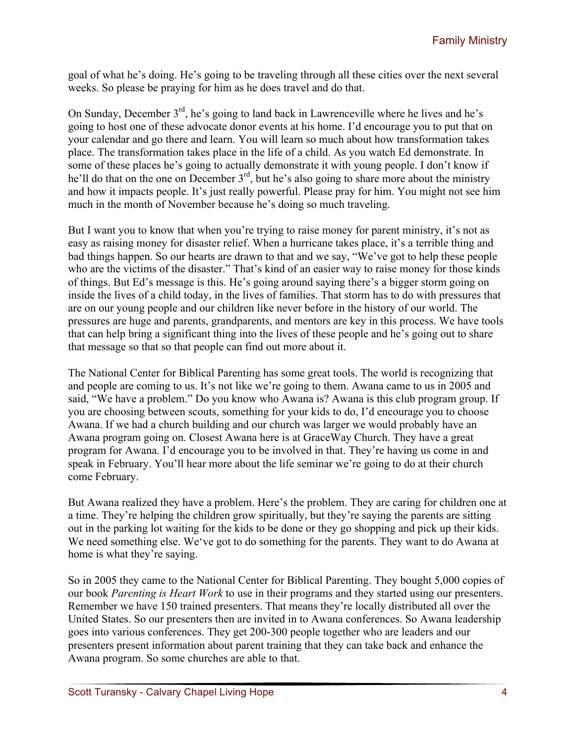goal of what he's doing. He's going to be traveling through all these cities over the next several weeks. So please be praying for him as he does travel and do that.

On Sunday, December 3rd, he's going to land back in Lawrenceville where he lives and he's going to host one of these advocate donor events at his home. I'd encourage you to put that on your calendar and go there and learn. You will learn so much about how transformation takes place. The transformation takes place in the life of a child. As you watch Ed demonstrate. In some of these places he's going to actually demonstrate it with young people. I don't know if he'll do that on the one on December 3<sup>rd</sup>, but he's also going to share more about the ministry and how it impacts people. It's just really powerful. Please pray for him. You might not see him much in the month of November because he's doing so much traveling.

But I want you to know that when you're trying to raise money for parent ministry, it's not as easy as raising money for disaster relief. When a hurricane takes place, it's a terrible thing and bad things happen. So our hearts are drawn to that and we say, "We've got to help these people who are the victims of the disaster." That's kind of an easier way to raise money for those kinds of things. But Ed's message is this. He's going around saying there's a bigger storm going on inside the lives of a child today, in the lives of families. That storm has to do with pressures that are on our young people and our children like never before in the history of our world. The pressures are huge and parents, grandparents, and mentors are key in this process. We have tools that can help bring a significant thing into the lives of these people and he's going out to share that message so that so that people can find out more about it.

The National Center for Biblical Parenting has some great tools. The world is recognizing that and people are coming to us. It's not like we're going to them. Awana came to us in 2005 and said, "We have a problem." Do you know who Awana is? Awana is this club program group. If you are choosing between scouts, something for your kids to do, I'd encourage you to choose Awana. If we had a church building and our church was larger we would probably have an Awana program going on. Closest Awana here is at GraceWay Church. They have a great program for Awana. I'd encourage you to be involved in that. They're having us come in and speak in February. You'll hear more about the life seminar we're going to do at their church come February.

But Awana realized they have a problem. Here's the problem. They are caring for children one at a time. They're helping the children grow spiritually, but they're saying the parents are sitting out in the parking lot waiting for the kids to be done or they go shopping and pick up their kids. We need something else. We've got to do something for the parents. They want to do Awana at home is what they're saying.

So in 2005 they came to the National Center for Biblical Parenting. They bought 5,000 copies of our book *Parenting is Heart Work* to use in their programs and they started using our presenters. Remember we have 150 trained presenters. That means they're locally distributed all over the United States. So our presenters then are invited in to Awana conferences. So Awana leadership goes into various conferences. They get 200-300 people together who are leaders and our presenters present information about parent training that they can take back and enhance the Awana program. So some churches are able to that.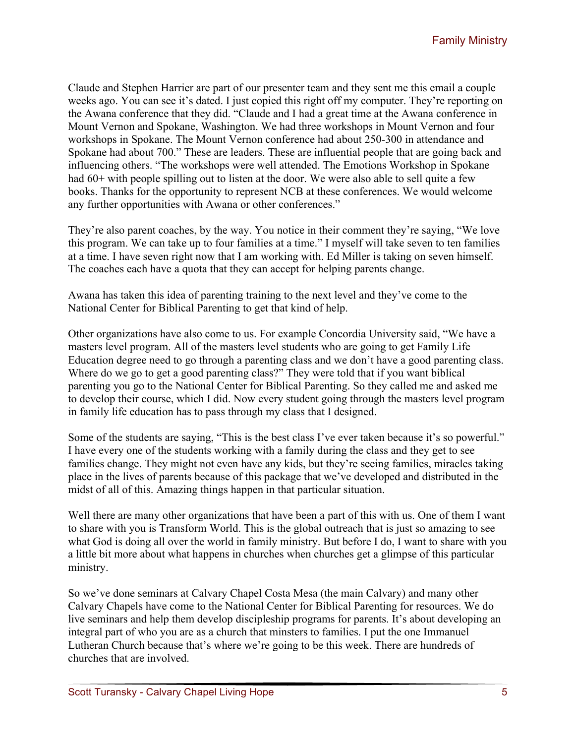Claude and Stephen Harrier are part of our presenter team and they sent me this email a couple weeks ago. You can see it's dated. I just copied this right off my computer. They're reporting on the Awana conference that they did. "Claude and I had a great time at the Awana conference in Mount Vernon and Spokane, Washington. We had three workshops in Mount Vernon and four workshops in Spokane. The Mount Vernon conference had about 250-300 in attendance and Spokane had about 700." These are leaders. These are influential people that are going back and influencing others. "The workshops were well attended. The Emotions Workshop in Spokane had 60+ with people spilling out to listen at the door. We were also able to sell quite a few books. Thanks for the opportunity to represent NCB at these conferences. We would welcome any further opportunities with Awana or other conferences."

They're also parent coaches, by the way. You notice in their comment they're saying, "We love this program. We can take up to four families at a time." I myself will take seven to ten families at a time. I have seven right now that I am working with. Ed Miller is taking on seven himself. The coaches each have a quota that they can accept for helping parents change.

Awana has taken this idea of parenting training to the next level and they've come to the National Center for Biblical Parenting to get that kind of help.

Other organizations have also come to us. For example Concordia University said, "We have a masters level program. All of the masters level students who are going to get Family Life Education degree need to go through a parenting class and we don't have a good parenting class. Where do we go to get a good parenting class?" They were told that if you want biblical parenting you go to the National Center for Biblical Parenting. So they called me and asked me to develop their course, which I did. Now every student going through the masters level program in family life education has to pass through my class that I designed.

Some of the students are saying, "This is the best class I've ever taken because it's so powerful." I have every one of the students working with a family during the class and they get to see families change. They might not even have any kids, but they're seeing families, miracles taking place in the lives of parents because of this package that we've developed and distributed in the midst of all of this. Amazing things happen in that particular situation.

Well there are many other organizations that have been a part of this with us. One of them I want to share with you is Transform World. This is the global outreach that is just so amazing to see what God is doing all over the world in family ministry. But before I do, I want to share with you a little bit more about what happens in churches when churches get a glimpse of this particular ministry.

So we've done seminars at Calvary Chapel Costa Mesa (the main Calvary) and many other Calvary Chapels have come to the National Center for Biblical Parenting for resources. We do live seminars and help them develop discipleship programs for parents. It's about developing an integral part of who you are as a church that minsters to families. I put the one Immanuel Lutheran Church because that's where we're going to be this week. There are hundreds of churches that are involved.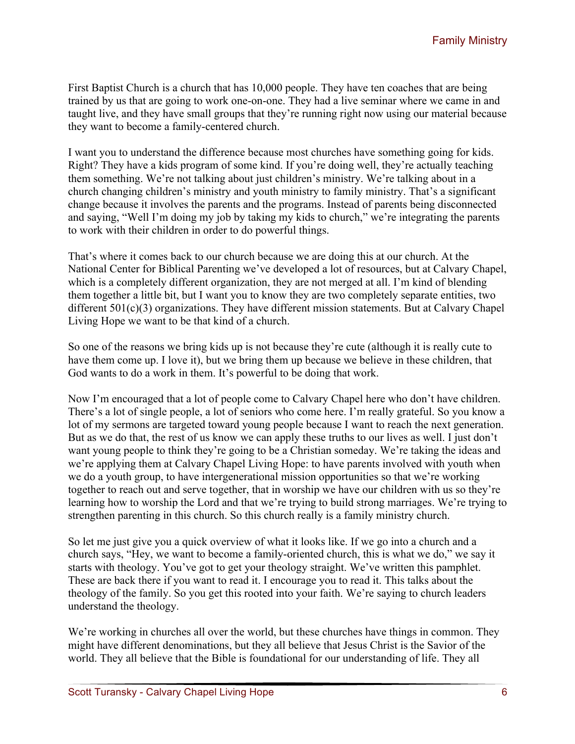First Baptist Church is a church that has 10,000 people. They have ten coaches that are being trained by us that are going to work one-on-one. They had a live seminar where we came in and taught live, and they have small groups that they're running right now using our material because they want to become a family-centered church.

I want you to understand the difference because most churches have something going for kids. Right? They have a kids program of some kind. If you're doing well, they're actually teaching them something. We're not talking about just children's ministry. We're talking about in a church changing children's ministry and youth ministry to family ministry. That's a significant change because it involves the parents and the programs. Instead of parents being disconnected and saying, "Well I'm doing my job by taking my kids to church," we're integrating the parents to work with their children in order to do powerful things.

That's where it comes back to our church because we are doing this at our church. At the National Center for Biblical Parenting we've developed a lot of resources, but at Calvary Chapel, which is a completely different organization, they are not merged at all. I'm kind of blending them together a little bit, but I want you to know they are two completely separate entities, two different 501(c)(3) organizations. They have different mission statements. But at Calvary Chapel Living Hope we want to be that kind of a church.

So one of the reasons we bring kids up is not because they're cute (although it is really cute to have them come up. I love it), but we bring them up because we believe in these children, that God wants to do a work in them. It's powerful to be doing that work.

Now I'm encouraged that a lot of people come to Calvary Chapel here who don't have children. There's a lot of single people, a lot of seniors who come here. I'm really grateful. So you know a lot of my sermons are targeted toward young people because I want to reach the next generation. But as we do that, the rest of us know we can apply these truths to our lives as well. I just don't want young people to think they're going to be a Christian someday. We're taking the ideas and we're applying them at Calvary Chapel Living Hope: to have parents involved with youth when we do a youth group, to have intergenerational mission opportunities so that we're working together to reach out and serve together, that in worship we have our children with us so they're learning how to worship the Lord and that we're trying to build strong marriages. We're trying to strengthen parenting in this church. So this church really is a family ministry church.

So let me just give you a quick overview of what it looks like. If we go into a church and a church says, "Hey, we want to become a family-oriented church, this is what we do," we say it starts with theology. You've got to get your theology straight. We've written this pamphlet. These are back there if you want to read it. I encourage you to read it. This talks about the theology of the family. So you get this rooted into your faith. We're saying to church leaders understand the theology.

We're working in churches all over the world, but these churches have things in common. They might have different denominations, but they all believe that Jesus Christ is the Savior of the world. They all believe that the Bible is foundational for our understanding of life. They all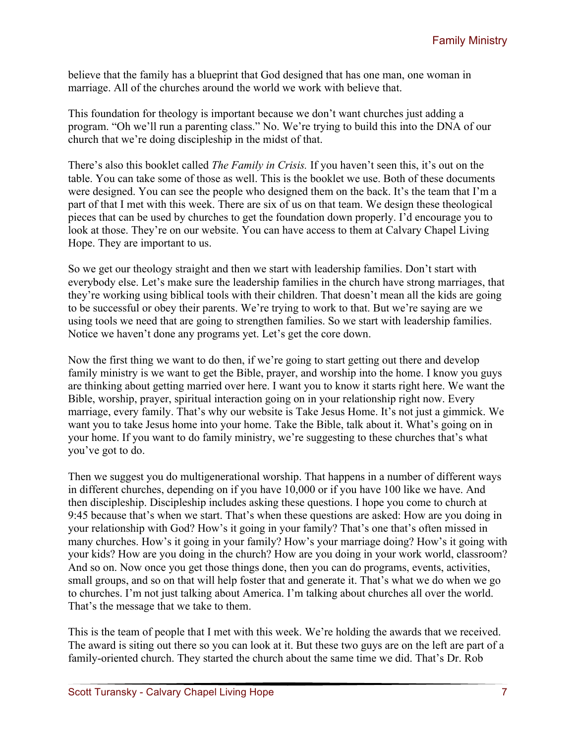believe that the family has a blueprint that God designed that has one man, one woman in marriage. All of the churches around the world we work with believe that.

This foundation for theology is important because we don't want churches just adding a program. "Oh we'll run a parenting class." No. We're trying to build this into the DNA of our church that we're doing discipleship in the midst of that.

There's also this booklet called *The Family in Crisis.* If you haven't seen this, it's out on the table. You can take some of those as well. This is the booklet we use. Both of these documents were designed. You can see the people who designed them on the back. It's the team that I'm a part of that I met with this week. There are six of us on that team. We design these theological pieces that can be used by churches to get the foundation down properly. I'd encourage you to look at those. They're on our website. You can have access to them at Calvary Chapel Living Hope. They are important to us.

So we get our theology straight and then we start with leadership families. Don't start with everybody else. Let's make sure the leadership families in the church have strong marriages, that they're working using biblical tools with their children. That doesn't mean all the kids are going to be successful or obey their parents. We're trying to work to that. But we're saying are we using tools we need that are going to strengthen families. So we start with leadership families. Notice we haven't done any programs yet. Let's get the core down.

Now the first thing we want to do then, if we're going to start getting out there and develop family ministry is we want to get the Bible, prayer, and worship into the home. I know you guys are thinking about getting married over here. I want you to know it starts right here. We want the Bible, worship, prayer, spiritual interaction going on in your relationship right now. Every marriage, every family. That's why our website is Take Jesus Home. It's not just a gimmick. We want you to take Jesus home into your home. Take the Bible, talk about it. What's going on in your home. If you want to do family ministry, we're suggesting to these churches that's what you've got to do.

Then we suggest you do multigenerational worship. That happens in a number of different ways in different churches, depending on if you have 10,000 or if you have 100 like we have. And then discipleship. Discipleship includes asking these questions. I hope you come to church at 9:45 because that's when we start. That's when these questions are asked: How are you doing in your relationship with God? How's it going in your family? That's one that's often missed in many churches. How's it going in your family? How's your marriage doing? How's it going with your kids? How are you doing in the church? How are you doing in your work world, classroom? And so on. Now once you get those things done, then you can do programs, events, activities, small groups, and so on that will help foster that and generate it. That's what we do when we go to churches. I'm not just talking about America. I'm talking about churches all over the world. That's the message that we take to them.

This is the team of people that I met with this week. We're holding the awards that we received. The award is siting out there so you can look at it. But these two guys are on the left are part of a family-oriented church. They started the church about the same time we did. That's Dr. Rob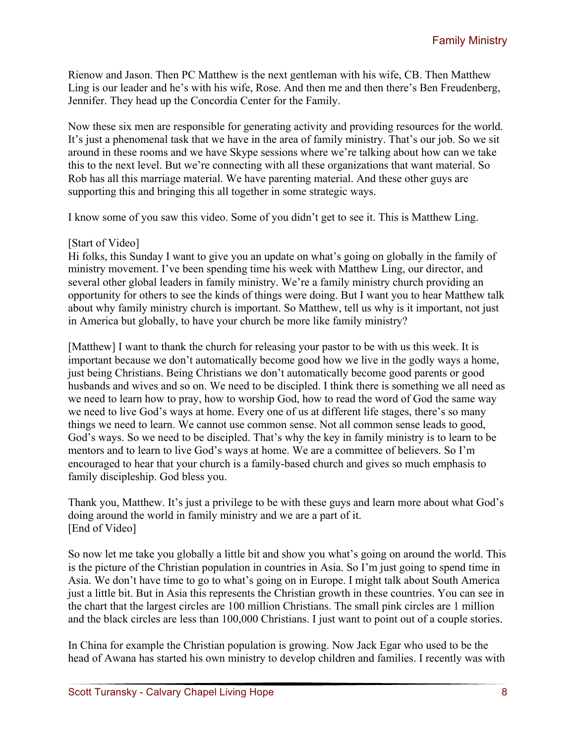Rienow and Jason. Then PC Matthew is the next gentleman with his wife, CB. Then Matthew Ling is our leader and he's with his wife, Rose. And then me and then there's Ben Freudenberg, Jennifer. They head up the Concordia Center for the Family.

Now these six men are responsible for generating activity and providing resources for the world. It's just a phenomenal task that we have in the area of family ministry. That's our job. So we sit around in these rooms and we have Skype sessions where we're talking about how can we take this to the next level. But we're connecting with all these organizations that want material. So Rob has all this marriage material. We have parenting material. And these other guys are supporting this and bringing this all together in some strategic ways.

I know some of you saw this video. Some of you didn't get to see it. This is Matthew Ling.

## [Start of Video]

Hi folks, this Sunday I want to give you an update on what's going on globally in the family of ministry movement. I've been spending time his week with Matthew Ling, our director, and several other global leaders in family ministry. We're a family ministry church providing an opportunity for others to see the kinds of things were doing. But I want you to hear Matthew talk about why family ministry church is important. So Matthew, tell us why is it important, not just in America but globally, to have your church be more like family ministry?

[Matthew] I want to thank the church for releasing your pastor to be with us this week. It is important because we don't automatically become good how we live in the godly ways a home, just being Christians. Being Christians we don't automatically become good parents or good husbands and wives and so on. We need to be discipled. I think there is something we all need as we need to learn how to pray, how to worship God, how to read the word of God the same way we need to live God's ways at home. Every one of us at different life stages, there's so many things we need to learn. We cannot use common sense. Not all common sense leads to good, God's ways. So we need to be discipled. That's why the key in family ministry is to learn to be mentors and to learn to live God's ways at home. We are a committee of believers. So I'm encouraged to hear that your church is a family-based church and gives so much emphasis to family discipleship. God bless you.

Thank you, Matthew. It's just a privilege to be with these guys and learn more about what God's doing around the world in family ministry and we are a part of it. [End of Video]

So now let me take you globally a little bit and show you what's going on around the world. This is the picture of the Christian population in countries in Asia. So I'm just going to spend time in Asia. We don't have time to go to what's going on in Europe. I might talk about South America just a little bit. But in Asia this represents the Christian growth in these countries. You can see in the chart that the largest circles are 100 million Christians. The small pink circles are 1 million and the black circles are less than 100,000 Christians. I just want to point out of a couple stories.

In China for example the Christian population is growing. Now Jack Egar who used to be the head of Awana has started his own ministry to develop children and families. I recently was with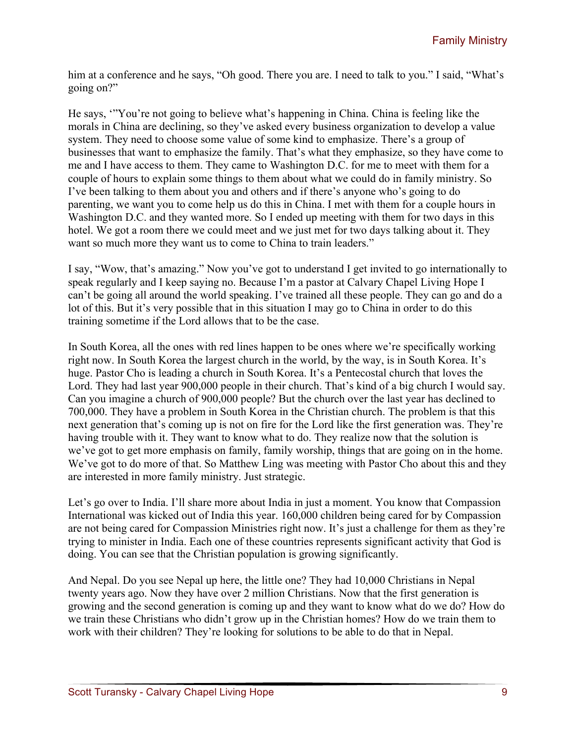him at a conference and he says, "Oh good. There you are. I need to talk to you." I said, "What's going on?"

He says, '"You're not going to believe what's happening in China. China is feeling like the morals in China are declining, so they've asked every business organization to develop a value system. They need to choose some value of some kind to emphasize. There's a group of businesses that want to emphasize the family. That's what they emphasize, so they have come to me and I have access to them. They came to Washington D.C. for me to meet with them for a couple of hours to explain some things to them about what we could do in family ministry. So I've been talking to them about you and others and if there's anyone who's going to do parenting, we want you to come help us do this in China. I met with them for a couple hours in Washington D.C. and they wanted more. So I ended up meeting with them for two days in this hotel. We got a room there we could meet and we just met for two days talking about it. They want so much more they want us to come to China to train leaders."

I say, "Wow, that's amazing." Now you've got to understand I get invited to go internationally to speak regularly and I keep saying no. Because I'm a pastor at Calvary Chapel Living Hope I can't be going all around the world speaking. I've trained all these people. They can go and do a lot of this. But it's very possible that in this situation I may go to China in order to do this training sometime if the Lord allows that to be the case.

In South Korea, all the ones with red lines happen to be ones where we're specifically working right now. In South Korea the largest church in the world, by the way, is in South Korea. It's huge. Pastor Cho is leading a church in South Korea. It's a Pentecostal church that loves the Lord. They had last year 900,000 people in their church. That's kind of a big church I would say. Can you imagine a church of 900,000 people? But the church over the last year has declined to 700,000. They have a problem in South Korea in the Christian church. The problem is that this next generation that's coming up is not on fire for the Lord like the first generation was. They're having trouble with it. They want to know what to do. They realize now that the solution is we've got to get more emphasis on family, family worship, things that are going on in the home. We've got to do more of that. So Matthew Ling was meeting with Pastor Cho about this and they are interested in more family ministry. Just strategic.

Let's go over to India. I'll share more about India in just a moment. You know that Compassion International was kicked out of India this year. 160,000 children being cared for by Compassion are not being cared for Compassion Ministries right now. It's just a challenge for them as they're trying to minister in India. Each one of these countries represents significant activity that God is doing. You can see that the Christian population is growing significantly.

And Nepal. Do you see Nepal up here, the little one? They had 10,000 Christians in Nepal twenty years ago. Now they have over 2 million Christians. Now that the first generation is growing and the second generation is coming up and they want to know what do we do? How do we train these Christians who didn't grow up in the Christian homes? How do we train them to work with their children? They're looking for solutions to be able to do that in Nepal.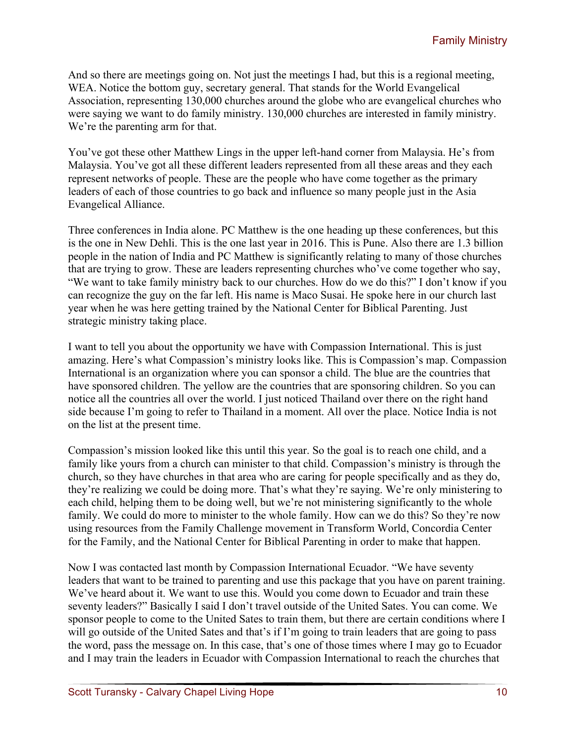And so there are meetings going on. Not just the meetings I had, but this is a regional meeting, WEA. Notice the bottom guy, secretary general. That stands for the World Evangelical Association, representing 130,000 churches around the globe who are evangelical churches who were saying we want to do family ministry. 130,000 churches are interested in family ministry. We're the parenting arm for that.

You've got these other Matthew Lings in the upper left-hand corner from Malaysia. He's from Malaysia. You've got all these different leaders represented from all these areas and they each represent networks of people. These are the people who have come together as the primary leaders of each of those countries to go back and influence so many people just in the Asia Evangelical Alliance.

Three conferences in India alone. PC Matthew is the one heading up these conferences, but this is the one in New Dehli. This is the one last year in 2016. This is Pune. Also there are 1.3 billion people in the nation of India and PC Matthew is significantly relating to many of those churches that are trying to grow. These are leaders representing churches who've come together who say, "We want to take family ministry back to our churches. How do we do this?" I don't know if you can recognize the guy on the far left. His name is Maco Susai. He spoke here in our church last year when he was here getting trained by the National Center for Biblical Parenting. Just strategic ministry taking place.

I want to tell you about the opportunity we have with Compassion International. This is just amazing. Here's what Compassion's ministry looks like. This is Compassion's map. Compassion International is an organization where you can sponsor a child. The blue are the countries that have sponsored children. The yellow are the countries that are sponsoring children. So you can notice all the countries all over the world. I just noticed Thailand over there on the right hand side because I'm going to refer to Thailand in a moment. All over the place. Notice India is not on the list at the present time.

Compassion's mission looked like this until this year. So the goal is to reach one child, and a family like yours from a church can minister to that child. Compassion's ministry is through the church, so they have churches in that area who are caring for people specifically and as they do, they're realizing we could be doing more. That's what they're saying. We're only ministering to each child, helping them to be doing well, but we're not ministering significantly to the whole family. We could do more to minister to the whole family. How can we do this? So they're now using resources from the Family Challenge movement in Transform World, Concordia Center for the Family, and the National Center for Biblical Parenting in order to make that happen.

Now I was contacted last month by Compassion International Ecuador. "We have seventy leaders that want to be trained to parenting and use this package that you have on parent training. We've heard about it. We want to use this. Would you come down to Ecuador and train these seventy leaders?" Basically I said I don't travel outside of the United Sates. You can come. We sponsor people to come to the United Sates to train them, but there are certain conditions where I will go outside of the United Sates and that's if I'm going to train leaders that are going to pass the word, pass the message on. In this case, that's one of those times where I may go to Ecuador and I may train the leaders in Ecuador with Compassion International to reach the churches that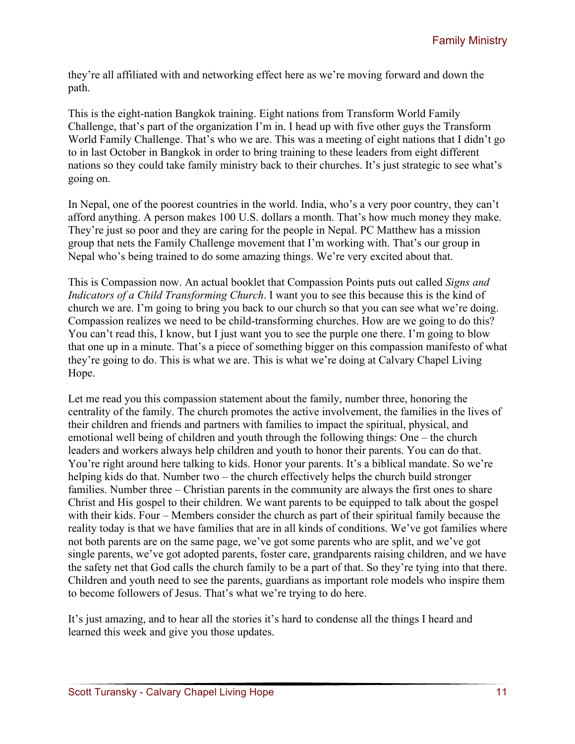they're all affiliated with and networking effect here as we're moving forward and down the path.

This is the eight-nation Bangkok training. Eight nations from Transform World Family Challenge, that's part of the organization I'm in. I head up with five other guys the Transform World Family Challenge. That's who we are. This was a meeting of eight nations that I didn't go to in last October in Bangkok in order to bring training to these leaders from eight different nations so they could take family ministry back to their churches. It's just strategic to see what's going on.

In Nepal, one of the poorest countries in the world. India, who's a very poor country, they can't afford anything. A person makes 100 U.S. dollars a month. That's how much money they make. They're just so poor and they are caring for the people in Nepal. PC Matthew has a mission group that nets the Family Challenge movement that I'm working with. That's our group in Nepal who's being trained to do some amazing things. We're very excited about that.

This is Compassion now. An actual booklet that Compassion Points puts out called *Signs and Indicators of a Child Transforming Church*. I want you to see this because this is the kind of church we are. I'm going to bring you back to our church so that you can see what we're doing. Compassion realizes we need to be child-transforming churches. How are we going to do this? You can't read this, I know, but I just want you to see the purple one there. I'm going to blow that one up in a minute. That's a piece of something bigger on this compassion manifesto of what they're going to do. This is what we are. This is what we're doing at Calvary Chapel Living Hope.

Let me read you this compassion statement about the family, number three, honoring the centrality of the family. The church promotes the active involvement, the families in the lives of their children and friends and partners with families to impact the spiritual, physical, and emotional well being of children and youth through the following things: One – the church leaders and workers always help children and youth to honor their parents. You can do that. You're right around here talking to kids. Honor your parents. It's a biblical mandate. So we're helping kids do that. Number two – the church effectively helps the church build stronger families. Number three – Christian parents in the community are always the first ones to share Christ and His gospel to their children. We want parents to be equipped to talk about the gospel with their kids. Four – Members consider the church as part of their spiritual family because the reality today is that we have families that are in all kinds of conditions. We've got families where not both parents are on the same page, we've got some parents who are split, and we've got single parents, we've got adopted parents, foster care, grandparents raising children, and we have the safety net that God calls the church family to be a part of that. So they're tying into that there. Children and youth need to see the parents, guardians as important role models who inspire them to become followers of Jesus. That's what we're trying to do here.

It's just amazing, and to hear all the stories it's hard to condense all the things I heard and learned this week and give you those updates.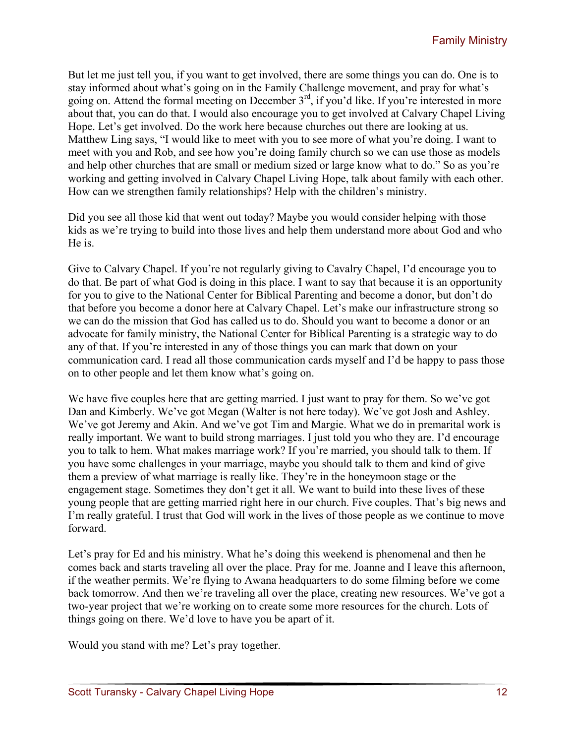But let me just tell you, if you want to get involved, there are some things you can do. One is to stay informed about what's going on in the Family Challenge movement, and pray for what's going on. Attend the formal meeting on December 3<sup>rd</sup>, if you'd like. If you're interested in more about that, you can do that. I would also encourage you to get involved at Calvary Chapel Living Hope. Let's get involved. Do the work here because churches out there are looking at us. Matthew Ling says, "I would like to meet with you to see more of what you're doing. I want to meet with you and Rob, and see how you're doing family church so we can use those as models and help other churches that are small or medium sized or large know what to do." So as you're working and getting involved in Calvary Chapel Living Hope, talk about family with each other. How can we strengthen family relationships? Help with the children's ministry.

Did you see all those kid that went out today? Maybe you would consider helping with those kids as we're trying to build into those lives and help them understand more about God and who He is.

Give to Calvary Chapel. If you're not regularly giving to Cavalry Chapel, I'd encourage you to do that. Be part of what God is doing in this place. I want to say that because it is an opportunity for you to give to the National Center for Biblical Parenting and become a donor, but don't do that before you become a donor here at Calvary Chapel. Let's make our infrastructure strong so we can do the mission that God has called us to do. Should you want to become a donor or an advocate for family ministry, the National Center for Biblical Parenting is a strategic way to do any of that. If you're interested in any of those things you can mark that down on your communication card. I read all those communication cards myself and I'd be happy to pass those on to other people and let them know what's going on.

We have five couples here that are getting married. I just want to pray for them. So we've got Dan and Kimberly. We've got Megan (Walter is not here today). We've got Josh and Ashley. We've got Jeremy and Akin. And we've got Tim and Margie. What we do in premarital work is really important. We want to build strong marriages. I just told you who they are. I'd encourage you to talk to hem. What makes marriage work? If you're married, you should talk to them. If you have some challenges in your marriage, maybe you should talk to them and kind of give them a preview of what marriage is really like. They're in the honeymoon stage or the engagement stage. Sometimes they don't get it all. We want to build into these lives of these young people that are getting married right here in our church. Five couples. That's big news and I'm really grateful. I trust that God will work in the lives of those people as we continue to move forward.

Let's pray for Ed and his ministry. What he's doing this weekend is phenomenal and then he comes back and starts traveling all over the place. Pray for me. Joanne and I leave this afternoon, if the weather permits. We're flying to Awana headquarters to do some filming before we come back tomorrow. And then we're traveling all over the place, creating new resources. We've got a two-year project that we're working on to create some more resources for the church. Lots of things going on there. We'd love to have you be apart of it.

Would you stand with me? Let's pray together.